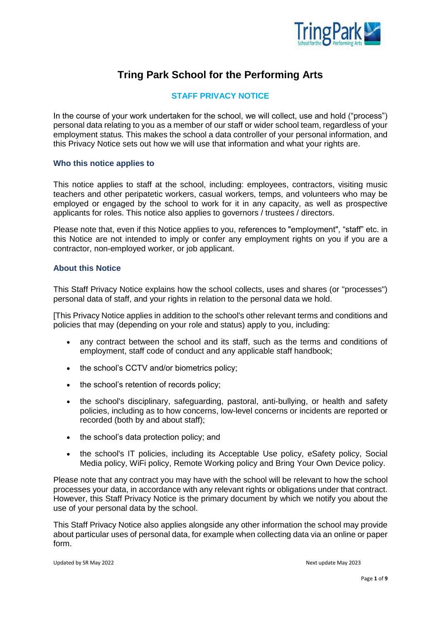

# **Tring Park School for the Performing Arts**

# **STAFF PRIVACY NOTICE**

In the course of your work undertaken for the school, we will collect, use and hold ("process") personal data relating to you as a member of our staff or wider school team, regardless of your employment status. This makes the school a data controller of your personal information, and this Privacy Notice sets out how we will use that information and what your rights are.

#### **Who this notice applies to**

This notice applies to staff at the school, including: employees, contractors, visiting music teachers and other peripatetic workers, casual workers, temps, and volunteers who may be employed or engaged by the school to work for it in any capacity, as well as prospective applicants for roles. This notice also applies to governors / trustees / directors.

Please note that, even if this Notice applies to you, references to "employment", "staff" etc. in this Notice are not intended to imply or confer any employment rights on you if you are a contractor, non-employed worker, or job applicant.

# **About this Notice**

This Staff Privacy Notice explains how the school collects, uses and shares (or "processes") personal data of staff, and your rights in relation to the personal data we hold.

[This Privacy Notice applies in addition to the school's other relevant terms and conditions and policies that may (depending on your role and status) apply to you, including:

- any contract between the school and its staff, such as the terms and conditions of employment, staff code of conduct and any applicable staff handbook;
- the school's CCTV and/or biometrics policy;
- the school's retention of records policy;
- the school's disciplinary, safeguarding, pastoral, anti-bullying, or health and safety policies, including as to how concerns, low-level concerns or incidents are reported or recorded (both by and about staff);
- the school's data protection policy; and
- the school's IT policies, including its Acceptable Use policy, eSafety policy, Social Media policy, WiFi policy, Remote Working policy and Bring Your Own Device policy.

Please note that any contract you may have with the school will be relevant to how the school processes your data, in accordance with any relevant rights or obligations under that contract. However, this Staff Privacy Notice is the primary document by which we notify you about the use of your personal data by the school.

This Staff Privacy Notice also applies alongside any other information the school may provide about particular uses of personal data, for example when collecting data via an online or paper form.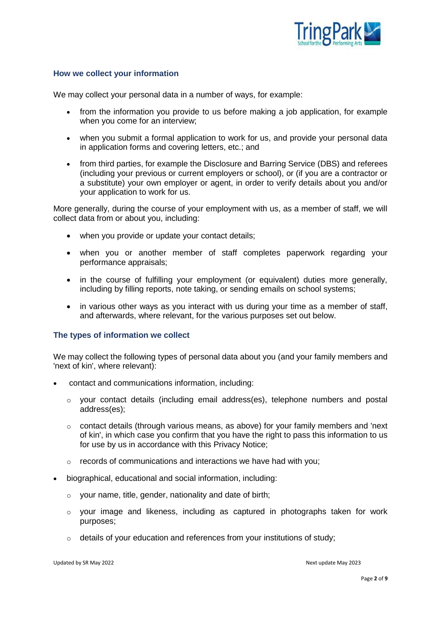

## **How we collect your information**

We may collect your personal data in a number of ways, for example:

- from the information you provide to us before making a job application, for example when you come for an interview:
- when you submit a formal application to work for us, and provide your personal data in application forms and covering letters, etc.; and
- from third parties, for example the Disclosure and Barring Service (DBS) and referees (including your previous or current employers or school), or (if you are a contractor or a substitute) your own employer or agent, in order to verify details about you and/or your application to work for us.

More generally, during the course of your employment with us, as a member of staff, we will collect data from or about you, including:

- when you provide or update your contact details;
- when you or another member of staff completes paperwork regarding your performance appraisals;
- in the course of fulfilling your employment (or equivalent) duties more generally, including by filling reports, note taking, or sending emails on school systems;
- in various other ways as you interact with us during your time as a member of staff, and afterwards, where relevant, for the various purposes set out below.

#### **The types of information we collect**

We may collect the following types of personal data about you (and your family members and 'next of kin', where relevant):

- contact and communications information, including:
	- o your contact details (including email address(es), telephone numbers and postal address(es);
	- o contact details (through various means, as above) for your family members and 'next of kin', in which case you confirm that you have the right to pass this information to us for use by us in accordance with this Privacy Notice;
	- o records of communications and interactions we have had with you;
- biographical, educational and social information, including:
	- $\circ$  your name, title, gender, nationality and date of birth;
	- $\circ$  your image and likeness, including as captured in photographs taken for work purposes;
	- o details of your education and references from your institutions of study;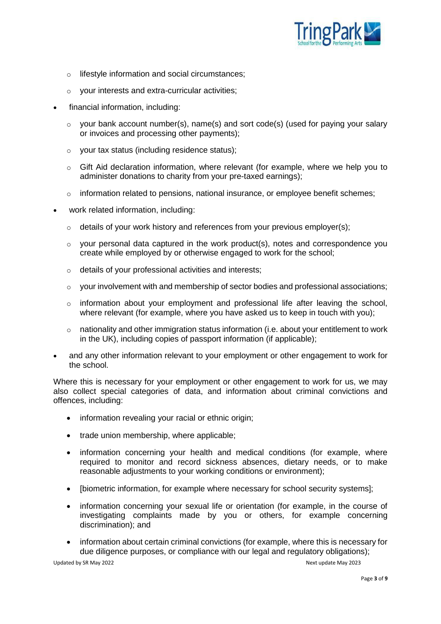

- o lifestyle information and social circumstances;
- o your interests and extra-curricular activities;
- financial information, including:
	- o your bank account number(s), name(s) and sort code(s) (used for paying your salary or invoices and processing other payments);
	- o your tax status (including residence status);
	- $\circ$  Gift Aid declaration information, where relevant (for example, where we help you to administer donations to charity from your pre-taxed earnings);
	- $\circ$  information related to pensions, national insurance, or employee benefit schemes;
- work related information, including:
	- $\circ$  details of your work history and references from your previous employer(s);
	- $\circ$  vour personal data captured in the work product(s), notes and correspondence you create while employed by or otherwise engaged to work for the school;
	- o details of your professional activities and interests;
	- $\circ$  your involvement with and membership of sector bodies and professional associations;
	- $\circ$  information about your employment and professional life after leaving the school, where relevant (for example, where you have asked us to keep in touch with you);
	- o nationality and other immigration status information (i.e. about your entitlement to work in the UK), including copies of passport information (if applicable);
- and any other information relevant to your employment or other engagement to work for the school.

Where this is necessary for your employment or other engagement to work for us, we may also collect special categories of data, and information about criminal convictions and offences, including:

- information revealing your racial or ethnic origin;
- trade union membership, where applicable:
- information concerning your health and medical conditions (for example, where required to monitor and record sickness absences, dietary needs, or to make reasonable adjustments to your working conditions or environment);
- [biometric information, for example where necessary for school security systems];
- information concerning your sexual life or orientation (for example, in the course of investigating complaints made by you or others, for example concerning discrimination); and
- information about certain criminal convictions (for example, where this is necessary for due diligence purposes, or compliance with our legal and regulatory obligations);

Updated by SR May 2022 2008 and the Update May 2023 Next update May 2023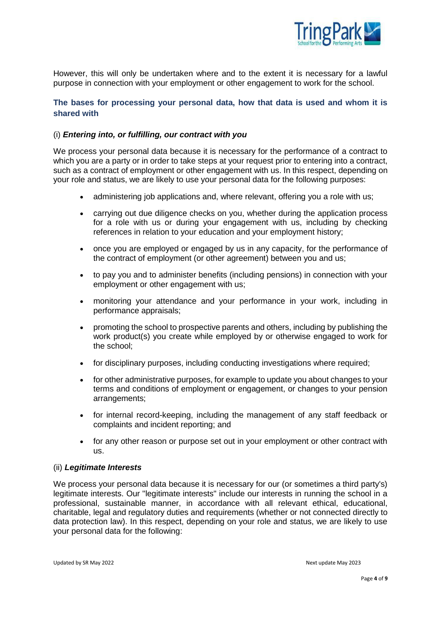

However, this will only be undertaken where and to the extent it is necessary for a lawful purpose in connection with your employment or other engagement to work for the school.

# **The bases for processing your personal data, how that data is used and whom it is shared with**

## (i) *Entering into, or fulfilling, our contract with you*

We process your personal data because it is necessary for the performance of a contract to which you are a party or in order to take steps at your request prior to entering into a contract, such as a contract of employment or other engagement with us. In this respect, depending on your role and status, we are likely to use your personal data for the following purposes:

- administering job applications and, where relevant, offering you a role with us;
- carrying out due diligence checks on you, whether during the application process for a role with us or during your engagement with us, including by checking references in relation to your education and your employment history;
- once you are employed or engaged by us in any capacity, for the performance of the contract of employment (or other agreement) between you and us;
- to pay you and to administer benefits (including pensions) in connection with your employment or other engagement with us;
- monitoring your attendance and your performance in your work, including in performance appraisals;
- promoting the school to prospective parents and others, including by publishing the work product(s) you create while employed by or otherwise engaged to work for the school;
- for disciplinary purposes, including conducting investigations where required;
- for other administrative purposes, for example to update you about changes to your terms and conditions of employment or engagement, or changes to your pension arrangements;
- for internal record-keeping, including the management of any staff feedback or complaints and incident reporting; and
- for any other reason or purpose set out in your employment or other contract with us.

#### (ii) *Legitimate Interests*

We process your personal data because it is necessary for our (or sometimes a third party's) legitimate interests. Our "legitimate interests" include our interests in running the school in a professional, sustainable manner, in accordance with all relevant ethical, educational, charitable, legal and regulatory duties and requirements (whether or not connected directly to data protection law). In this respect, depending on your role and status, we are likely to use your personal data for the following:

Updated by SR May 2022 2008 and the Update May 2023 Next update May 2023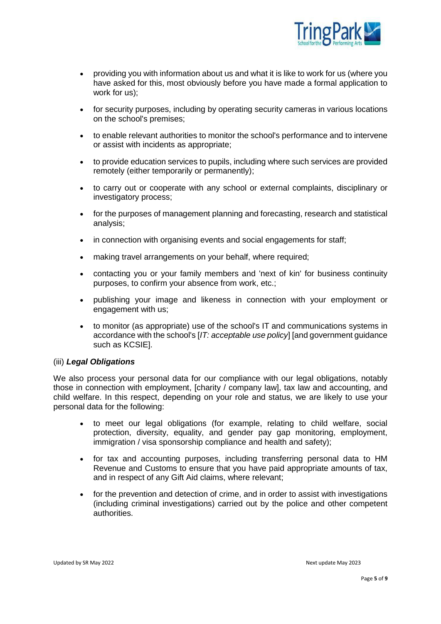

- providing you with information about us and what it is like to work for us (where you have asked for this, most obviously before you have made a formal application to work for us);
- for security purposes, including by operating security cameras in various locations on the school's premises;
- to enable relevant authorities to monitor the school's performance and to intervene or assist with incidents as appropriate;
- to provide education services to pupils, including where such services are provided remotely (either temporarily or permanently);
- to carry out or cooperate with any school or external complaints, disciplinary or investigatory process;
- for the purposes of management planning and forecasting, research and statistical analysis;
- in connection with organising events and social engagements for staff;
- making travel arrangements on your behalf, where required;
- contacting you or your family members and 'next of kin' for business continuity purposes, to confirm your absence from work, etc.;
- publishing your image and likeness in connection with your employment or engagement with us;
- to monitor (as appropriate) use of the school's IT and communications systems in accordance with the school's [*IT: acceptable use policy*] [and government guidance such as KCSIE].

## (iii) *Legal Obligations*

We also process your personal data for our compliance with our legal obligations, notably those in connection with employment, [charity / company law], tax law and accounting, and child welfare. In this respect, depending on your role and status, we are likely to use your personal data for the following:

- to meet our legal obligations (for example, relating to child welfare, social protection, diversity, equality, and gender pay gap monitoring, employment, immigration / visa sponsorship compliance and health and safety);
- for tax and accounting purposes, including transferring personal data to HM Revenue and Customs to ensure that you have paid appropriate amounts of tax, and in respect of any Gift Aid claims, where relevant;
- for the prevention and detection of crime, and in order to assist with investigations (including criminal investigations) carried out by the police and other competent authorities.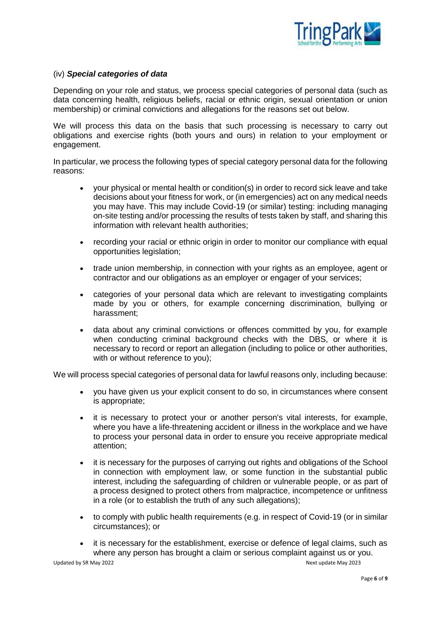

## (iv) *Special categories of data*

Depending on your role and status, we process special categories of personal data (such as data concerning health, religious beliefs, racial or ethnic origin, sexual orientation or union membership) or criminal convictions and allegations for the reasons set out below.

We will process this data on the basis that such processing is necessary to carry out obligations and exercise rights (both yours and ours) in relation to your employment or engagement.

In particular, we process the following types of special category personal data for the following reasons:

- your physical or mental health or condition(s) in order to record sick leave and take decisions about your fitness for work, or (in emergencies) act on any medical needs you may have. This may include Covid-19 (or similar) testing: including managing on-site testing and/or processing the results of tests taken by staff, and sharing this information with relevant health authorities;
- recording your racial or ethnic origin in order to monitor our compliance with equal opportunities legislation;
- trade union membership, in connection with your rights as an employee, agent or contractor and our obligations as an employer or engager of your services;
- categories of your personal data which are relevant to investigating complaints made by you or others, for example concerning discrimination, bullying or harassment;
- data about any criminal convictions or offences committed by you, for example when conducting criminal background checks with the DBS, or where it is necessary to record or report an allegation (including to police or other authorities, with or without reference to you);

We will process special categories of personal data for lawful reasons only, including because:

- you have given us your explicit consent to do so, in circumstances where consent is appropriate;
- it is necessary to protect your or another person's vital interests, for example, where you have a life-threatening accident or illness in the workplace and we have to process your personal data in order to ensure you receive appropriate medical attention;
- it is necessary for the purposes of carrying out rights and obligations of the School in connection with employment law, or some function in the substantial public interest, including the safeguarding of children or vulnerable people, or as part of a process designed to protect others from malpractice, incompetence or unfitness in a role (or to establish the truth of any such allegations);
- to comply with public health requirements (e.g. in respect of Covid-19 (or in similar circumstances); or
- it is necessary for the establishment, exercise or defence of legal claims, such as where any person has brought a claim or serious complaint against us or you.

Updated by SR May 2022 **Next update May 2023** Next update May 2023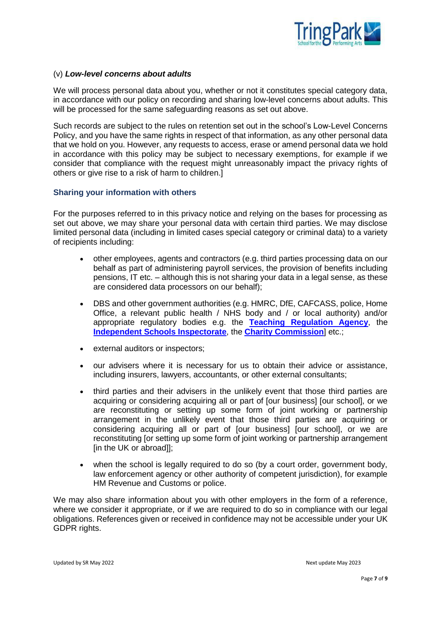

### (v) *Low-level concerns about adults*

We will process personal data about you, whether or not it constitutes special category data, in accordance with our policy on recording and sharing low-level concerns about adults. This will be processed for the same safeguarding reasons as set out above.

Such records are subject to the rules on retention set out in the school's Low-Level Concerns Policy, and you have the same rights in respect of that information, as any other personal data that we hold on you. However, any requests to access, erase or amend personal data we hold in accordance with this policy may be subject to necessary exemptions, for example if we consider that compliance with the request might unreasonably impact the privacy rights of others or give rise to a risk of harm to children.]

## **Sharing your information with others**

For the purposes referred to in this privacy notice and relying on the bases for processing as set out above, we may share your personal data with certain third parties. We may disclose limited personal data (including in limited cases special category or criminal data) to a variety of recipients including:

- other employees, agents and contractors (e.g. third parties processing data on our behalf as part of administering payroll services, the provision of benefits including pensions, IT etc. – although this is not sharing your data in a legal sense, as these are considered data processors on our behalf);
- DBS and other government authorities (e.g. HMRC, DfE, CAFCASS, police, Home Office, a relevant public health / NHS body and / or local authority) and/or appropriate regulatory bodies e.g. the **[Teaching Regulation Agency](https://www.gov.uk/government/organisations/teaching-regulation-agency)**, the **[Independent Schools Inspectorate](https://www.isi.net/)**, the **[Charity Commission](https://www.gov.uk/government/organisations/charity-commission)**] etc.;
- external auditors or inspectors;
- our advisers where it is necessary for us to obtain their advice or assistance, including insurers, lawyers, accountants, or other external consultants;
- third parties and their advisers in the unlikely event that those third parties are acquiring or considering acquiring all or part of [our business] [our school], or we are reconstituting or setting up some form of joint working or partnership arrangement in the unlikely event that those third parties are acquiring or considering acquiring all or part of [our business] [our school], or we are reconstituting [or setting up some form of joint working or partnership arrangement [in the UK or abroad]];
- when the school is legally required to do so (by a court order, government body, law enforcement agency or other authority of competent jurisdiction), for example HM Revenue and Customs or police.

We may also share information about you with other employers in the form of a reference, where we consider it appropriate, or if we are required to do so in compliance with our legal obligations. References given or received in confidence may not be accessible under your UK GDPR rights.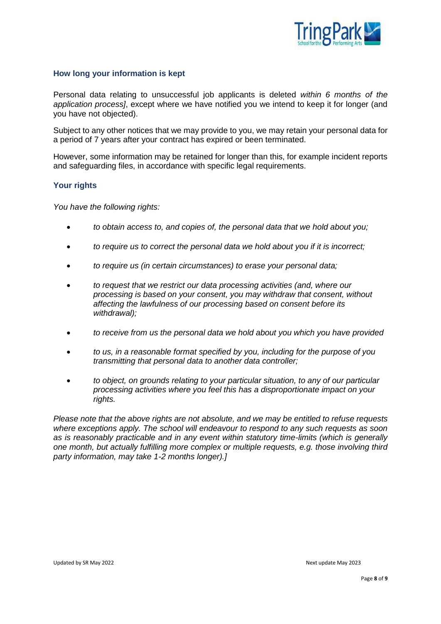

## **How long your information is kept**

Personal data relating to unsuccessful job applicants is deleted *within 6 months of the application process]*, except where we have notified you we intend to keep it for longer (and you have not objected).

Subject to any other notices that we may provide to you, we may retain your personal data for a period of 7 years after your contract has expired or been terminated.

However, some information may be retained for longer than this, for example incident reports and safeguarding files, in accordance with specific legal requirements.

## **Your rights**

*You have the following rights:*

- *to obtain access to, and copies of, the personal data that we hold about you;*
- *to require us to correct the personal data we hold about you if it is incorrect;*
- *to require us (in certain circumstances) to erase your personal data;*
- *to request that we restrict our data processing activities (and, where our processing is based on your consent, you may withdraw that consent, without affecting the lawfulness of our processing based on consent before its withdrawal);*
- *to receive from us the personal data we hold about you which you have provided*
- *to us, in a reasonable format specified by you, including for the purpose of you transmitting that personal data to another data controller;*
- *to object, on grounds relating to your particular situation, to any of our particular processing activities where you feel this has a disproportionate impact on your rights.*

*Please note that the above rights are not absolute, and we may be entitled to refuse requests where exceptions apply. The school will endeavour to respond to any such requests as soon as is reasonably practicable and in any event within statutory time-limits (which is generally one month, but actually fulfilling more complex or multiple requests, e.g. those involving third party information, may take 1-2 months longer).]*